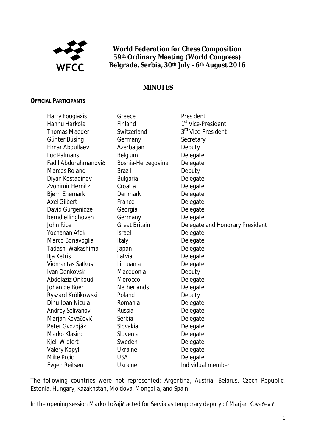

**World Federation for Chess Composition 59th Ordinary Meeting (World Congress) Belgrade, Serbia, 30th JulyǦ6th August 2016**

## **MINUTES**

#### **OFFICIAL PARTICIPANTS**

| Harry Fougiaxis      | Greece               | President                       |
|----------------------|----------------------|---------------------------------|
| Hannu Harkola        | Finland              | 1 <sup>st</sup> Vice-President  |
| <b>Thomas Maeder</b> | Switzerland          | 3rd Vice-President              |
| Günter Büsing        | Germany              | Secretary                       |
| Elmar Abdullaev      | Azerbaijan           | Deputy                          |
| Luc Palmans          | Belgium              | Delegate                        |
| Fadil Abdurahmanović | Bosnia-Herzegovina   | Delegate                        |
| <b>Marcos Roland</b> | <b>Brazil</b>        | Deputy                          |
| Diyan Kostadinov     | <b>Bulgaria</b>      | Delegate                        |
| Zvonimir Hernitz     | Croatia              | Delegate                        |
| <b>Bjørn Enemark</b> | Denmark              | Delegate                        |
| <b>Axel Gilbert</b>  | France               | Delegate                        |
| David Gurgenidze     | Georgia              | Delegate                        |
| bernd ellinghoven    | Germany              | Delegate                        |
| <b>John Rice</b>     | <b>Great Britain</b> | Delegate and Honorary President |
| Yochanan Afek        | <b>Israel</b>        | Delegate                        |
| Marco Bonavoglia     | Italy                | Delegate                        |
| Tadashi Wakashima    | Japan                | Delegate                        |
| Ilja Ketris          | Latvia               | Delegate                        |
| Vidmantas Satkus     | Lithuania            | Delegate                        |
| Ivan Denkovski       | Macedonia            | Deputy                          |
| Abdelaziz Onkoud     | Morocco              | Delegate                        |
| Johan de Boer        | <b>Netherlands</b>   | Delegate                        |
| Ryszard Królikowski  | Poland               | Deputy                          |
| Dinu-Ioan Nicula     | Romania              | Delegate                        |
| Andrey Selivanov     | Russia               | Delegate                        |
| Marjan Kovačević     | Serbia               | Delegate                        |
| Peter Gvozdják       | Slovakia             | Delegate                        |
| Marko Klasinc        | Slovenia             | Delegate                        |
| Kjell Widlert        | Sweden               | Delegate                        |
| <b>Valery Kopyl</b>  | <b>Ukraine</b>       | Delegate                        |
| <b>Mike Prcic</b>    | <b>USA</b>           | Delegate                        |
| Evgen Reitsen        | <b>Ukraine</b>       | Individual member               |

The following countries were not represented: Argentina, Austria, Belarus, Czech Republic, Estonia, Hungary, Kazakhstan, Moldova, Mongolia, and Spain.

In the opening session Marko Ložajić acted for Servia as temporary deputy of Marjan Kovačević.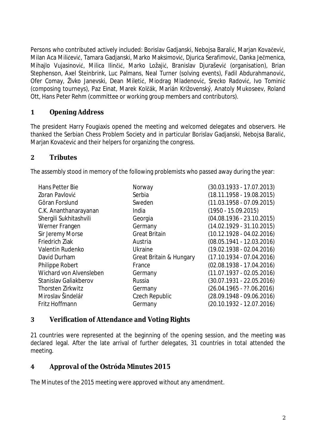Persons who contributed actively included: Borislav Gadjanski, Nebojsa Baralić, Marjan Kovačević, Milan Aca Milićević, Tamara Gadianski, Marko Maksimović, Diurica Serafimović, Danka Ječmenica, Mihajlo Vujasinović, Milica Ilinčić, Marko Ložajić, Branislav Djurašević (organisation), Brian Stephenson, Axel Steinbrink, Luc Palmans, Neal Turner (solving events), Fadil Abdurahmanović, Ofer Comay, Živko Janevski, Dean Miletić, Miodrag Mladenović, Srećko Radović, Ivo Tominić (composing tourneys), Paz Einat, Marek Kolēák, Marián Križovenský, Anatoly Mukoseev, Roland Ott, Hans Peter Rehm (committee or working group members and contributors).

### **1** Opening Address

The president Harry Fougiaxis opened the meeting and welcomed delegates and observers. He thanked the Serbian Chess Problem Society and in particular Borislav Gadjanski, Nebojsa Baralić, Marjan Kovačević and their helpers for organizing the congress.

### **ʹ Tributes**

The assembly stood in memory of the following problemists who passed away during the year:

| Hans Petter Bie          | Norway                  | $(30.03.1933 - 17.07.2013)$ |
|--------------------------|-------------------------|-----------------------------|
| Zoran Pavlović           | Serbia                  | $(18.11.1958 - 19.08.2015)$ |
| Göran Forslund           | Sweden                  | $(11.03.1958 - 07.09.2015)$ |
| C.K. Ananthanarayanan    | India                   | $(1950 - 15.09.2015)$       |
| Shergili Sukhitashvili   | Georgia                 | $(04.08.1936 - 23.10.2015)$ |
| Werner Frangen           | Germany                 | $(14.02.1929 - 31.10.2015)$ |
| Sir Jeremy Morse         | <b>Great Britain</b>    | $(10.12.1928 - 04.02.2016)$ |
| <b>Friedrich Ziak</b>    | Austria                 | $(08.05.1941 - 12.03.2016)$ |
| Valentin Rudenko         | Ukraine                 | $(19.02.1938 - 02.04.2016)$ |
| David Durham             | Great Britain & Hungary | $(17.10.1934 - 07.04.2016)$ |
| Philippe Robert          | France                  | $(02.08.1938 - 17.04.2016)$ |
| Wichard von Alvensleben  | Germany                 | $(11.07.1937 - 02.05.2016)$ |
| Stanislav Galiakberov    | Russia                  | $(30.07.1931 - 22.05.2016)$ |
| <b>Thorsten Zirkwitz</b> | Germany                 | $(26.04.1965 - ??06.2016)$  |
| Miroslav Šindelář        | Czech Republic          | $(28.09.1948 - 09.06.2016)$ |
| Fritz Hoffmann           | Germany                 | $(20.10.1932 - 12.07.2016)$ |

## **͵ Verification of Attendance and Voting Rights**

21 countries were represented at the beginning of the opening session, and the meeting was declared legal. After the late arrival of further delegates, 31 countries in total attended the meeting.

**Ͷ Approval of the Ostróda Minutes 2015**

The Minutes of the 2015 meeting were approved without any amendment.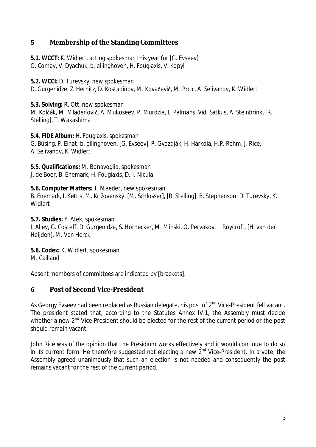## **ͷ Membership of the Standing Committees**

**5.1. WCCT:** K. Widlert, acting spokesman this year for [G. Evseev] O. Comay, V. Dyachuk, b. ellinghoven, H. Fougiaxis, V. Kopyl

**5.2. WCCI:** D. Turevsky, new spokesman D. Gurgenidze, Z. Hernitz, D. Kostadinov, M. Kovačević, M. Prcic, A. Selivanov, K. Widlert

**5.3. Solving:** R. Ott, new spokesman M. Kolčák, M. Mladenović, A. Mukoseev, P. Murdzia, L. Palmans, Vid. Satkus, A. Steinbrink, [R. Stelling], T. Wakashima

**5.4. FIDE Album:** H. Fougiaxis, spokesman G. Büsing, P. Einat, b. ellinghoven, [G. Evseev], P. Gvozdják, H. Harkola, H.P. Rehm, J. Rice, A. Selivanov, K. Widlert

**5.5. Qualifications:** M. Bonavoglia, spokesman J. de Boer, B. Enemark, H. Fougiaxis, D.-I. Nicula

**5.6. Computer Matters:** T. Maeder, new spokesman B. Enemark, I. Ketris, M. Križovenský, [M. Schlosser], [R. Stelling], B. Stephenson, D. Turevsky, K. **Widlert** 

**5.7. Studies:** Y. Afek, spokesman I. Aliev, G. Costeff, D. Gurgenidze, S. Hornecker, M. Minski, O. Pervakov, J. Roycroft, [H. van der Heijden], M. Van Herck

**5.8. Codex:** K. Widlert, spokesman M. Caillaud

Absent members of committees are indicated by [brackets].

**Post of Second Vice-President**

As Georgy Eyseey had been replaced as Russian delegate, his post of 2<sup>nd</sup> Vice-President fell vacant. The president stated that, according to the Statutes Annex IV.1, the Assembly must decide whether a new 2<sup>nd</sup> Vice-President should be elected for the rest of the current period or the post should remain vacant.

John Rice was of the opinion that the Presidium works effectively and it would continue to do so in its current form. He therefore suggested not electing a new  $2^{nd}$  Vice-President. In a vote, the Assembly agreed unanimously that such an election is not needed and consequently the post remains vacant for the rest of the current period.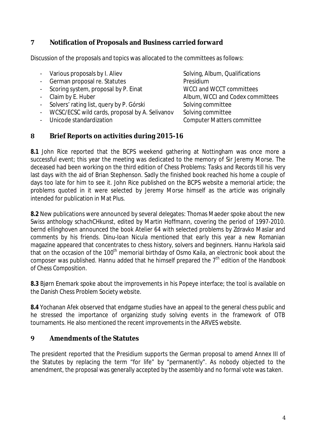## **Notification of Proposals and Business carried forward**

Discussion of the proposals and topics was allocated to the committees as follows:

- Various proposals by I. Aliev Solving, Album, Qualifications - German proposal re. Statutes **Presidium** Scoring system, proposal by P. Einat WCCI and WCCT committees Claim by E. Huber Album, WCCI and Codex committees - Solvers' rating list, query by P. Górski Solving committee WCSC/ECSC wild cards, proposal by A. Selivanov Solving committee - Unicode standardization and computer Matters committee

#### **ͺ Brief Reports on activities during 2015-16**

**8.1** John Rice reported that the BCPS weekend gathering at Nottingham was once more a successful event; this year the meeting was dedicated to the memory of Sir Jeremy Morse. The deceased had been working on the third edition of *Chess Problems: Tasks and Records* till his very last days with the aid of Brian Stephenson. Sadly the finished book reached his home a couple of days too late for him to see it. John Rice published on the BCPS website a memorial article; the problems quoted in it were selected by Jeremy Morse himself as the article was originally intended for publication in Mat Plus.

**8.2** New publications were announced by several delegates: Thomas Maeder spoke about the new Swiss anthology *schachCHkunst*, edited by Martin Hoffmann, covering the period of 1997-2010. bernd ellinghoven announced the book *Atelier 64* with selected problems by Zdravko Maslar and comments by his friends. Dinu-Ioan Nicula mentioned that early this year a new Romanian magazine appeared that concentrates to chess history, solvers and beginners. Hannu Harkola said that on the occasion of the 100<sup>th</sup> memorial birthday of Osmo Kaila, an electronic book about the composer was published. Hannu added that he himself prepared the 7th edition of the *Handbook of Chess Composition*.

**8.3** Bjørn Enemark spoke about the improvements in his Popeye interface; the tool is available on the Danish Chess Problem Society website.

**8.4** Yochanan Afek observed that endgame studies have an appeal to the general chess public and he stressed the importance of organizing study solving events in the framework of OTB tournaments. He also mentioned the recent improvements in the ARVES website.

#### **ͻ Amendments of the Statutes**

The president reported that the Presidium supports the German proposal to amend Annex III of the Statutes by replacing the term "for life" by "permanently". As nobody objected to the amendment, the proposal was generally accepted by the assembly and no formal vote was taken.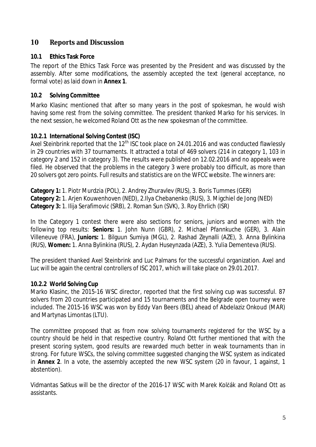### **10 Reports and Discussion**

#### **10.1 Ethics Task Force**

The report of the Ethics Task Force was presented by the President and was discussed by the assembly. After some modifications, the assembly accepted the text (general acceptance, no formal vote) as laid down in **Annex 1**.

#### **10.2 Solving Committee**

Marko Klasinc mentioned that after so many years in the post of spokesman, he would wish having some rest from the solving committee. The president thanked Marko for his services. In the next session, he welcomed Roland Ott as the new spokesman of the committee.

#### **10.2.1 International Solving Contest (ISC)**

Axel Steinbrink reported that the  $12<sup>th</sup>$  ISC took place on 24.01.2016 and was conducted flawlessly in 29 countries with 37 tournaments. It attracted a total of 469 solvers (214 in category 1, 103 in category 2 and 152 in category 3). The results were published on 12.02.2016 and no appeals were filed. He observed that the problems in the category 3 were probably too difficult, as more than 20 solvers got zero points. Full results and statistics are on the WFCC website. The winners are:

**Category 1:** 1. Piotr Murdzia (POL), 2. Andrey Zhuravlev (RUS), 3. Boris Tummes (GER) **Category 2:** 1. Arjen Kouwenhoven (NED), 2.Ilya Chebanenko (RUS), 3. Migchiel de Jong (NED) Category 3: 1. Ilija Serafimović (SRB), 2. Roman Sun (SVK), 3. Roy Ehrlich (ISR)

In the Category 1 contest there were also sections for seniors, juniors and women with the following top results: **Seniors:** 1. John Nunn (GBR), 2. Michael Pfannkuche (GER), 3. Alain Villeneuve (FRA), **Juniors:** 1. Bilguun Sumiya (MGL), 2. Rashad Zeynalli (AZE), 3. Anna Bylinkina (RUS), **Women:** 1. Anna Bylinkina (RUS), 2. Aydan Huseynzada (AZE), 3. Yulia Dementeva (RUS).

The president thanked Axel Steinbrink and Luc Palmans for the successful organization. Axel and Luc will be again the central controllers of ISC 2017, which will take place on 29.01.2017.

#### **10.2.2 World Solving Cup**

Marko Klasinc, the 2015-16 WSC director, reported that the first solving cup was successful. 87 solvers from 20 countries participated and 15 tournaments and the Belgrade open tourney were included. The 2015-16 WSC was won by Eddy Van Beers (BEL) ahead of Abdelaziz Onkoud (MAR) and Martynas Limontas (LTU).

The committee proposed that as from now solving tournaments registered for the WSC by a country should be held in that respective country. Roland Ott further mentioned that with the present scoring system, good results are rewarded much better in weak tournaments than in strong. For future WSCs, the solving committee suggested changing the WSC system as indicated in **Annex 2**. In a vote, the assembly accepted the new WSC system (20 in favour, 1 against, 1 abstention).

Vidmantas Satkus will be the director of the 2016-17 WSC with Marek Kolēák and Roland Ott as assistants.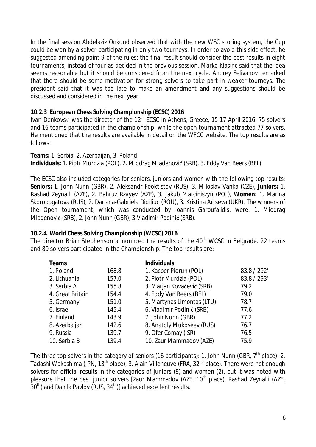In the final session Abdelaziz Onkoud observed that with the new WSC scoring system, the Cup could be won by a solver participating in only two tourneys. In order to avoid this side effect, he suggested amending point 9 of the rules: the final result should consider the best results in eight tournaments, instead of four as decided in the previous session. Marko Klasinc said that the idea seems reasonable but it should be considered from the next cycle. Andrey Selivanov remarked that there should be some motivation for strong solvers to take part in weaker tourneys. The president said that it was too late to make an amendment and any suggestions should be discussed and considered in the next year.

#### **10.2.3 European Chess Solving Championship (ECSC) 2016**

Ivan Denkovski was the director of the 12<sup>th</sup> ECSC in Athens, Greece, 15-17 April 2016. 75 solvers and 16 teams participated in the championship, while the open tournament attracted 77 solvers. He mentioned that the results are available in detail on the WFCC website. The top results are as follows:

**Teams:** 1. Serbia, 2. Azerbaijan, 3. Poland Individuals: 1. Piotr Murdzia (POL), 2. Miodrag Mladenović (SRB), 3. Eddy Van Beers (BEL)

The ECSC also included categories for seniors, juniors and women with the following top results: **Seniors:** 1. John Nunn (GBR), 2. Aleksandr Feoktistov (RUS), 3. Miloslav Vanka (CZE), **Juniors:** 1. Rashad Zeynalli (AZE), 2. Bahruz Rzayev (AZE), 3. Jakub Marciniszyn (POL), **Women:** 1. Marina Skorobogatova (RUS), 2. Dariana-Gabriela Didiliuc (ROU), 3. Kristina Artseva (UKR). The winners of the Open tournament, which was conducted by Ioannis Garoufalidis, were: 1. Miodrag Mladenović (SRB), 2. John Nunn (GBR), 3.Vladimir Podinić (SRB).

#### **10.2.4 World Chess Solving Championship (WCSC) 2016**

The director Brian Stephenson announced the results of the 40<sup>th</sup> WCSC in Belgrade. 22 teams and 89 solvers participated in the Championship. The top results are:

| Teams            |       | <b>Individuals</b>         |             |
|------------------|-------|----------------------------|-------------|
| 1. Poland        | 168.8 | 1. Kacper Piorun (POL)     | 83.8 / 292' |
| 2. Lithuania     | 157.0 | 2. Piotr Murdzia (POL)     | 83.8 / 293' |
| 3. Serbia A      | 155.8 | 3. Marjan Kovačević (SRB)  | 79.2        |
| 4. Great Britain | 154.4 | 4. Eddy Van Beers (BEL)    | 79.0        |
| 5. Germany       | 151.0 | 5. Martynas Limontas (LTU) | 78.7        |
| 6. Israel        | 145.4 | 6. Vladimir Podinić (SRB)  | 77.6        |
| 7. Finland       | 143.9 | 7. John Nunn (GBR)         | 77.2        |
| 8. Azerbaijan    | 142.6 | 8. Anatoly Mukoseev (RUS)  | 76.7        |
| 9. Russia        | 139.7 | 9. Ofer Comay (ISR)        | 76.5        |
| 10. Serbia B     | 139.4 | 10. Zaur Mammadov (AZE)    | 75.9        |

The three top solvers in the category of seniors (16 participants): 1. John Nunn (GBR, 7<sup>th</sup> place), 2. Tadashi Wakashima (JPN, 13th place), 3. Alain Villeneuve (FRA, 32nd place). There were not enough solvers for official results in the categories of juniors (8) and women (2), but it was noted with pleasure that the best junior solvers [Zaur Mammadov (AZE, 10<sup>th</sup> place), Rashad Zeynalli (AZE,  $30<sup>th</sup>$ ) and Danila Pavlov (RUS,  $34<sup>th</sup>$ )] achieved excellent results.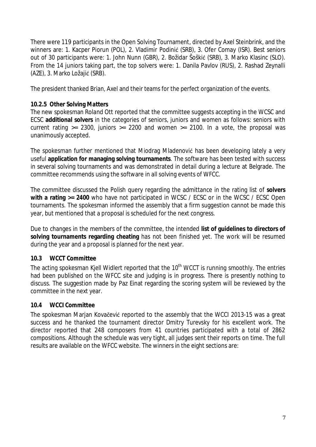There were 119 participants in the Open Solving Tournament, directed by Axel Steinbrink, and the winners are: 1. Kacper Piorun (POL), 2. Vladimir Podinić (SRB), 3. Ofer Comay (ISR). Best seniors out of 30 participants were: 1. John Nunn (GBR), 2. Božidar Šoškić (SRB), 3. Marko Klasinc (SLO). From the 14 juniors taking part, the top solvers were: 1. Danila Pavlov (RUS), 2. Rashad Zeynalli (AZE), 3. Marko Ložajić (SRB).

The president thanked Brian, Axel and their teams for the perfect organization of the events.

### **10.2.5 Other Solving Matters**

The new spokesman Roland Ott reported that the committee suggests accepting in the WCSC and ECSC **additional solvers** in the categories of seniors, juniors and women as follows: seniors with current rating  $>= 2300$ , juniors  $>= 2200$  and women  $>= 2100$ . In a vote, the proposal was unanimously accepted.

The spokesman further mentioned that Miodrag Mladenović has been developing lately a very useful **application for managing solving tournaments**. The software has been tested with success in several solving tournaments and was demonstrated in detail during a lecture at Belgrade. The committee recommends using the software in all solving events of WFCC.

The committee discussed the Polish query regarding the admittance in the rating list of **solvers with a rating >= 2400** who have not participated in WCSC / ECSC or in the WCSC / ECSC Open tournaments. The spokesman informed the assembly that a firm suggestion cannot be made this year, but mentioned that a proposal is scheduled for the next congress.

Due to changes in the members of the committee, the intended **list of guidelines to directors of solving tournaments regarding cheating** has not been finished yet. The work will be resumed during the year and a proposal is planned for the next year.

## **10.3 WCCT Committee**

The acting spokesman Kiell Widlert reported that the 10<sup>th</sup> WCCT is running smoothly. The entries had been published on the WFCC site and judging is in progress. There is presently nothing to discuss. The suggestion made by Paz Einat regarding the scoring system will be reviewed by the committee in the next year.

## **10.4 WCCI Committee**

The spokesman Marjan Kovačević reported to the assembly that the WCCI 2013-15 was a great success and he thanked the tournament director Dmitry Turevsky for his excellent work. The director reported that 248 composers from 41 countries participated with a total of 2862 compositions. Although the schedule was very tight, all judges sent their reports on time. The full results are available on the WFCC website. The winners in the eight sections are: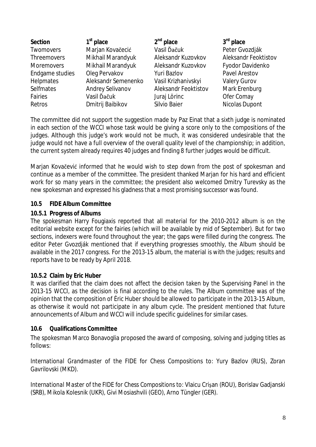| Section            | $1st$ place         | $2nd$ place          | $3rd$ place          |
|--------------------|---------------------|----------------------|----------------------|
| Twomovers          | Marjan Kovačecić    | Vasil Ďačuk          | Peter Gvozdják       |
| <b>Threemovers</b> | Mikhail Marandyuk   | Aleksandr Kuzovkov   | Aleksandr Feoktistov |
| Moremovers         | Mikhail Marandyuk   | Aleksandr Kuzovkov   | Fyodor Davidenko     |
| Endgame studies    | Oleg Pervakov       | Yuri Bazlov          | Pavel Arestov        |
| <b>Helpmates</b>   | Aleksandr Semenenko | Vasil Krizhanivskyi  | <b>Valery Gurov</b>  |
| Selfmates          | Andrey Selivanov    | Aleksandr Feoktistov | Mark Erenburg        |
| Fairies            | Vasil Ďačuk         | Juraj Lörinc         | Ofer Comay           |
| Retros             | Dmitrij Baibikov    | Silvio Baier         | Nicolas Dupont       |

The committee did not support the suggestion made by Paz Einat that a sixth judge is nominated in each section of the WCCI whose task would be giving a score only to the compositions of the judges. Although this judge's work would not be much, it was considered undesirable that the judge would not have a full overview of the overall quality level of the championship; in addition, the current system already requires 40 judges and finding 8 further judges would be difficult.

Marjan Kovaēeviđ informed that he would wish to step down from the post of spokesman and continue as a member of the committee. The president thanked Marjan for his hard and efficient work for so many years in the committee; the president also welcomed Dmitry Turevsky as the new spokesman and expressed his gladness that a most promising successor was found.

#### **10.5 FIDE Album Committee**

#### **10.5.1 Progress of Albums**

The spokesman Harry Fougiaxis reported that all material for the 2010-2012 album is on the editorial website except for the fairies (which will be available by mid of September). But for two sections, indexers were found throughout the year; the gaps were filled during the congress. The editor Peter Gvozdják mentioned that if everything progresses smoothly, the Album should be available in the 2017 congress. For the 2013-15 album, the material is with the judges; results and reports have to be ready by April 2018.

## **10.5.2 Claim by Eric Huber**

It was clarified that the claim does not affect the decision taken by the Supervising Panel in the 2013-15 WCCI, as the decision is final according to the rules. The Album committee was of the opinion that the composition of Éric Huber should be allowed to participate in the 2013-15 Album, as otherwise it would not participate in any album cycle. The president mentioned that future announcements of Album and WCCI will include specific guidelines for similar cases.

#### **10.6 Qualifications Committee**

The spokesman Marco Bonavoglia proposed the award of composing, solving and judging titles as follows:

*International Grandmaster of the FIDE for Chess Compositions* to: Yury Bazlov (RUS), Zoran Gavrilovski (MKD).

*International Master of the FIDE for Chess Compositions to: Vlaicu Crisan (ROU), Borislav Gadjanski* (SRB), Mikola Kolesnik (UKR), Givi Mosiashvili (GEO), Arno Tüngler (GER).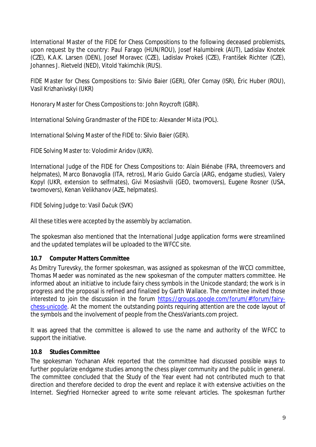*International Master of the FIDE for Chess Compositions* to the following deceased problemists, upon request by the country: Paul Farago (HUN/ROU), Josef Halumbirek (AUT), Ladislav Knotek (CZE), K.A.K. Larsen (DEN), Josef Moravec (CZE), Ladislav Prokeš (CZE), František Richter (CZE), Johannes J. Rietveld (NED), Vitold Yakimchik (RUS).

*FIDE Master for Chess Compositions* to: Silvio Baier (GER), Ofer Comay (ISR), Éric Huber (ROU), Vasil Krizhanivskyi (UKR)

*Honorary Master for Chess Compositions* to: John Roycroft (GBR).

*International Solving Grandmaster of the FIDE* to: Alexander Mista (POL).

*International Solving Master of the FIDE* to: Silvio Baier (GER).

*FIDE Solving Master* to: Volodimir Aridov (UKR).

*International Judge of the FIDE for Chess Compositions* to: Alain Biénabe (FRA, threemovers and helpmates), Marco Bonavoglia (ITA, retros), Mario Guido García (ARG, endgame studies), Valery Kopyl (UKR, extension to selfmates), Givi Mosiashvili (GEO, twomovers), Eugene Rosner (USA, twomovers), Kenan Velikhanov (AZE, helpmates).

## *FIDE Solving Judge* to: Vasil Ďačuk (SVK)

All these titles were accepted by the assembly by acclamation.

The spokesman also mentioned that the *International Judge* application forms were streamlined and the updated templates will be uploaded to the WFCC site.

## **10.7 Computer Matters Committee**

As Dmitry Turevsky, the former spokesman, was assigned as spokesman of the WCCI committee, Thomas Maeder was nominated as the new spokesman of the computer matters committee. He informed about an initiative to include fairy chess symbols in the Unicode standard; the work is in progress and the proposal is refined and finalized by Garth Wallace. The committee invited those interested to join the discussion in the forum [https://groups.google.com/forum/#!forum/fairy](https://groups.google.com/forum/#%21forum/fairy-chess-unicode)[chess-unicode](https://groups.google.com/forum/#%21forum/fairy-chess-unicode). At the moment the outstanding points requiring attention are the code layout of the symbols and the involvement of people from the ChessVariants.com project.

It was agreed that the committee is allowed to use the name and authority of the WFCC to support the initiative.

## **10.8 Studies Committee**

The spokesman Yochanan Afek reported that the committee had discussed possible ways to further popularize endgame studies among the chess player community and the public in general. The committee concluded that the Study of the Year event had not contributed much to that direction and therefore decided to drop the event and replace it with extensive activities on the Internet. Siegfried Hornecker agreed to write some relevant articles. The spokesman further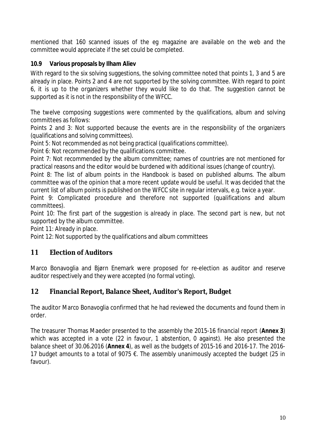mentioned that 160 scanned issues of the *eg* magazine are available on the web and the committee would appreciate if the set could be completed.

### **10.9 Various proposals by Ilham Aliev**

With regard to the six solving suggestions, the solving committee noted that points 1, 3 and 5 are already in place. Points 2 and 4 are not supported by the solving committee. With regard to point 6, it is up to the organizers whether they would like to do that. The suggestion cannot be supported as it is not in the responsibility of the WFCC.

The twelve composing suggestions were commented by the qualifications, album and solving committees as follows:

Points 2 and 3: Not supported because the events are in the responsibility of the organizers (qualifications and solving committees).

Point 5: Not recommended as not being practical (qualifications committee).

Point 6: Not recommended by the qualifications committee.

Point 7: Not recommended by the album committee; names of countries are not mentioned for practical reasons and the editor would be burdened with additional issues (change of country).

Point 8: The list of album points in the Handbook is based on *published* albums. The album committee was of the opinion that a more recent update would be useful. It was decided that the current list of album points is published on the WFCC site in regular intervals, e.g. twice a year.

Point 9: Complicated procedure and therefore not supported (qualifications and album committees).

Point 10: The first part of the suggestion is already in place. The second part is new, but not supported by the album committee.

Point 11: Already in place.

Point 12: Not supported by the qualifications and album committees

## **11 Election of Auditors**

Marco Bonavoglia and Bjørn Enemark were proposed for re-election as auditor and reserve auditor respectively and they were accepted (no formal voting).

## **12 Financial Report, Balance Sheet, Auditor's Report, Budget**

The auditor Marco Bonavoglia confirmed that he had reviewed the documents and found them in order.

The treasurer Thomas Maeder presented to the assembly the 2015-16 financial report (**Annex 3**) which was accepted in a vote (22 in favour, 1 abstention, 0 against). He also presented the balance sheet of 30.06.2016 (**Annex 4**), as well as the budgets of 2015-16 and 2016-17. The 2016- 17 budget amounts to a total of 9075 €. The assembly unanimously accepted the budget (25 in favour).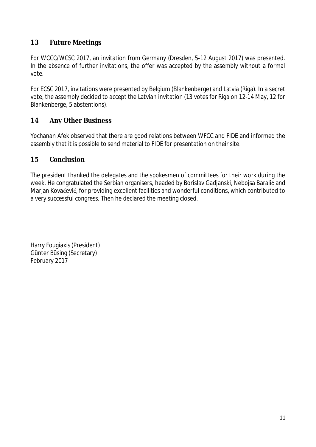## **13 Future Meetings**

For WCCC/WCSC 2017, an invitation from Germany (Dresden, 5-12 August 2017) was presented. In the absence of further invitations, the offer was accepted by the assembly without a formal vote.

For ECSC 2017, invitations were presented by Belgium (Blankenberge) and Latvia (Riga). In a secret vote, the assembly decided to accept the Latvian invitation (13 votes for Riga on 12-14 May, 12 for Blankenberge, 5 abstentions).

### **14 Any Other Business**

Yochanan Afek observed that there are good relations between WFCC and FIDE and informed the assembly that it is possible to send material to FIDE for presentation on their site.

#### **15 Conclusion**

The president thanked the delegates and the spokesmen of committees for their work during the week. He congratulated the Serbian organisers, headed by Borislay Gadianski, Neboisa Baralić and Marjan Kovačević, for providing excellent facilities and wonderful conditions, which contributed to a very successful congress. Then he declared the meeting closed.

Harry Fougiaxis (President) Günter Büsing (Secretary) February 2017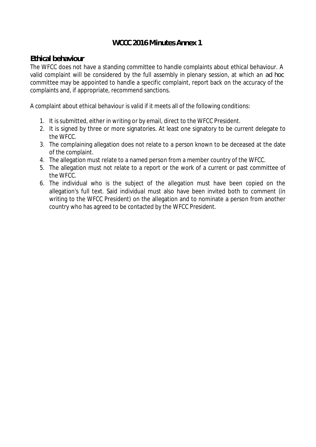## **WCCC 2016 Minutes Annex 1**

#### **Ethical behaviour**

The WFCC does not have a standing committee to handle complaints about ethical behaviour. A valid complaint will be considered by the full assembly in plenary session, at which an *ad hoc* committee may be appointed to handle a specific complaint, report back on the accuracy of the complaints and, if appropriate, recommend sanctions.

A complaint about ethical behaviour is valid if it meets all of the following conditions:

- 1. It is submitted, either in writing or by email, direct to the WFCC President.
- 2. It is signed by three or more signatories. At least one signatory to be current delegate to the WFCC.
- 3. The complaining allegation does not relate to a person known to be deceased at the date of the complaint.
- 4. The allegation must relate to a named person from a member country of the WFCC.
- 5. The allegation must not relate to a report or the work of a current or past committee of the WFCC.
- 6. The individual who is the subject of the allegation must have been copied on the allegation's full text. Said individual must also have been invited both to comment (in writing to the WFCC President) on the allegation and to nominate a person from another country who has agreed to be contacted by the WFCC President.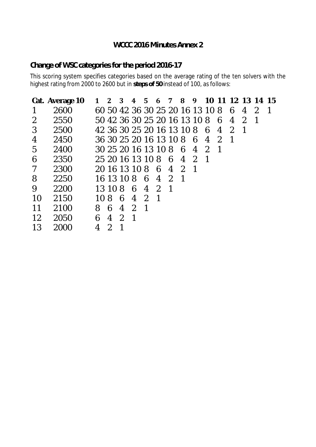## **WCCC 2016 Minutes Annex 2**

## **Change of WSC categories for the period 2016-17**

This scoring system specifies categories based on the average rating of the ten solvers with the highest rating from 2000 to 2600 but in **steps of 50** instead of 100, as follows:

|                | Cat. Average 10 |      | <b>2</b> | 3             | 4             | 5.             | 6                               | $\overline{7}$ | $\overline{\mathbf{8}}$ | 9              | 10 11          |                |               |               | 12 13 14       | 15 |
|----------------|-----------------|------|----------|---------------|---------------|----------------|---------------------------------|----------------|-------------------------|----------------|----------------|----------------|---------------|---------------|----------------|----|
|                | 2600            |      |          |               |               |                | 60 50 42 36 30 25 20 16 13 10 8 |                |                         |                |                |                | 6             | 4             | $\mathcal{D}%$ |    |
| 2              | 2550            |      |          |               |               |                | 50 42 36 30 25 20 16 13 10 8    |                |                         |                |                | 6              | 4             | $\mathcal{P}$ | -1             |    |
| $\mathfrak{Z}$ | 2500            |      |          |               |               |                | 42 36 30 25 20 16 13 10 8       |                |                         |                | 6              | 4              | $\mathcal{L}$ | -1            |                |    |
| 4              | 2450            |      |          |               |               |                | 36 30 25 20 16 13 10 8          |                |                         | -6             | $\overline{4}$ | $\overline{2}$ |               |               |                |    |
| 5              | 2400            |      |          |               |               |                | 30 25 20 16 13 10 8             |                | -6                      | 4              | $\mathcal{P}$  |                |               |               |                |    |
| 6              | 2350            |      |          |               |               |                | 25 20 16 13 10 8 6              |                | 4                       | $\overline{2}$ | -1             |                |               |               |                |    |
| 7              | 2300            |      |          | 20 16 13 10 8 |               |                | -6                              | 4 2            |                         | - 1            |                |                |               |               |                |    |
| 8              | 2250            |      |          | 16 13 10 8    |               |                | 64                              | 2              | -1                      |                |                |                |               |               |                |    |
| 9              | 2200            |      | 13 10 8  |               | 6             | $\overline{4}$ | $\overline{2}$                  | -1             |                         |                |                |                |               |               |                |    |
| 10             | 2150            | 10 R |          | 6             | 4             | $\mathcal{P}$  | $\mathbf 1$                     |                |                         |                |                |                |               |               |                |    |
| 11             | 2100            | 8    | 6        | 4             | $\mathcal{L}$ | -1             |                                 |                |                         |                |                |                |               |               |                |    |
| 12             | 2050            | 6    | 4        | $\mathcal{D}$ |               |                |                                 |                |                         |                |                |                |               |               |                |    |
| 13             | 2000            | 4    | 2        |               |               |                |                                 |                |                         |                |                |                |               |               |                |    |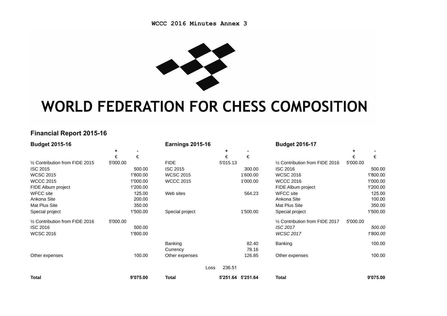

## **WORLD FEDERATION FOR CHESS COMPOSITION**

#### **Financial Report 2015-16**

| <b>Budget 2015-16</b>           |          |          | <b>Earnings 2015-16</b> |          |                   | <b>Budget 2016-17</b>           |          |          |
|---------------------------------|----------|----------|-------------------------|----------|-------------------|---------------------------------|----------|----------|
|                                 | ÷        |          |                         | ٠        |                   |                                 | ÷.       |          |
|                                 | €        | €        |                         | €        | €                 |                                 | €        | €        |
| 1/2 Contribution from FIDE 2015 | 5'000.00 |          | <b>FIDE</b>             | 5'015.13 |                   | 1/2 Contribution from FIDE 2016 | 5'000.00 |          |
| <b>ISC 2015</b>                 |          | 500.00   | <b>ISC 2015</b>         |          | 300.00            | <b>ISC 2016</b>                 |          | 500.00   |
| <b>WCSC 2015</b>                |          | 1'800.00 | <b>WCSC 2015</b>        |          | 1'600.00          | <b>WCSC 2016</b>                |          | 1'800.00 |
| <b>WCCC 2015</b>                |          | 1'000.00 | <b>WCCC 2015</b>        |          | 1'000.00          | <b>WCCC 2016</b>                |          | 1'000.00 |
| FIDE Album project              |          | 1'200.00 |                         |          |                   | FIDE Album project              |          | 1'200.00 |
| <b>WFCC site</b>                |          | 125.00   | Web sites               |          | 564.23            | <b>WFCC site</b>                |          | 125.00   |
| Ankona Site                     |          | 200.00   |                         |          |                   | Ankona Site                     |          | 100.00   |
| Mat Plus Site                   |          | 350.00   |                         |          |                   | Mat Plus Site                   |          | 350.00   |
| Special project                 |          | 1'500.00 | Special project         |          | 1'500.00          | Special project                 |          | 1'500.00 |
| 1/2 Contribution from FIDE 2016 | 5'000.00 |          |                         |          |                   | 1/2 Contribution from FIDE 2017 | 5'000.00 |          |
| <b>ISC 2016</b>                 |          | 500.00   |                         |          |                   | <b>ISC 2017</b>                 |          | 500.00   |
| <b>WCSC 2016</b>                |          | 1'800.00 |                         |          |                   | <b>WCSC 2017</b>                |          | 1'800.00 |
|                                 |          |          | Banking                 |          | 82.40             | <b>Banking</b>                  |          | 100.00   |
|                                 |          |          | Currency                |          | 78.16             |                                 |          |          |
| Other expenses                  |          | 100.00   | Other expenses          |          | 126.85            | Other expenses                  |          | 100.00   |
|                                 |          |          | Loss                    | 236.51   |                   |                                 |          |          |
| <b>Total</b>                    |          | 9'075.00 | Total                   |          | 5'251.64 5'251.64 | <b>Total</b>                    |          | 9'075.00 |